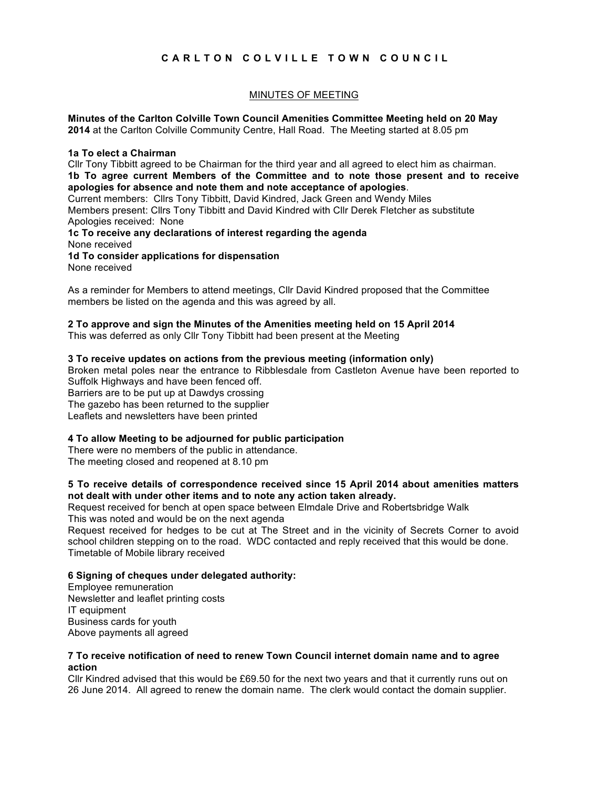# **CARLTON COLVILLE TOWN COUNCIL**

## MINUTES OF MEETING

**Minutes of the Carlton Colville Town Council Amenities Committee Meeting held on 20 May 2014** at the Carlton Colville Community Centre, Hall Road. The Meeting started at 8.05 pm

#### **1a To elect a Chairman**

Cllr Tony Tibbitt agreed to be Chairman for the third year and all agreed to elect him as chairman. **1b To agree current Members of the Committee and to note those present and to receive apologies for absence and note them and note acceptance of apologies**. Current members: Cllrs Tony Tibbitt, David Kindred, Jack Green and Wendy Miles Members present: Cllrs Tony Tibbitt and David Kindred with Cllr Derek Fletcher as substitute Apologies received: None **1c To receive any declarations of interest regarding the agenda** None received **1d To consider applications for dispensation**

None received

As a reminder for Members to attend meetings, Cllr David Kindred proposed that the Committee members be listed on the agenda and this was agreed by all.

#### **2 To approve and sign the Minutes of the Amenities meeting held on 15 April 2014**

This was deferred as only Cllr Tony Tibbitt had been present at the Meeting

#### **3 To receive updates on actions from the previous meeting (information only)**

Broken metal poles near the entrance to Ribblesdale from Castleton Avenue have been reported to Suffolk Highways and have been fenced off. Barriers are to be put up at Dawdys crossing The gazebo has been returned to the supplier Leaflets and newsletters have been printed

#### **4 To allow Meeting to be adjourned for public participation**

There were no members of the public in attendance. The meeting closed and reopened at 8.10 pm

#### **5 To receive details of correspondence received since 15 April 2014 about amenities matters not dealt with under other items and to note any action taken already.**

Request received for bench at open space between Elmdale Drive and Robertsbridge Walk This was noted and would be on the next agenda

Request received for hedges to be cut at The Street and in the vicinity of Secrets Corner to avoid school children stepping on to the road. WDC contacted and reply received that this would be done. Timetable of Mobile library received

#### **6 Signing of cheques under delegated authority:**

Employee remuneration Newsletter and leaflet printing costs IT equipment Business cards for youth Above payments all agreed

#### **7 To receive notification of need to renew Town Council internet domain name and to agree action**

Cllr Kindred advised that this would be £69.50 for the next two years and that it currently runs out on 26 June 2014. All agreed to renew the domain name. The clerk would contact the domain supplier.